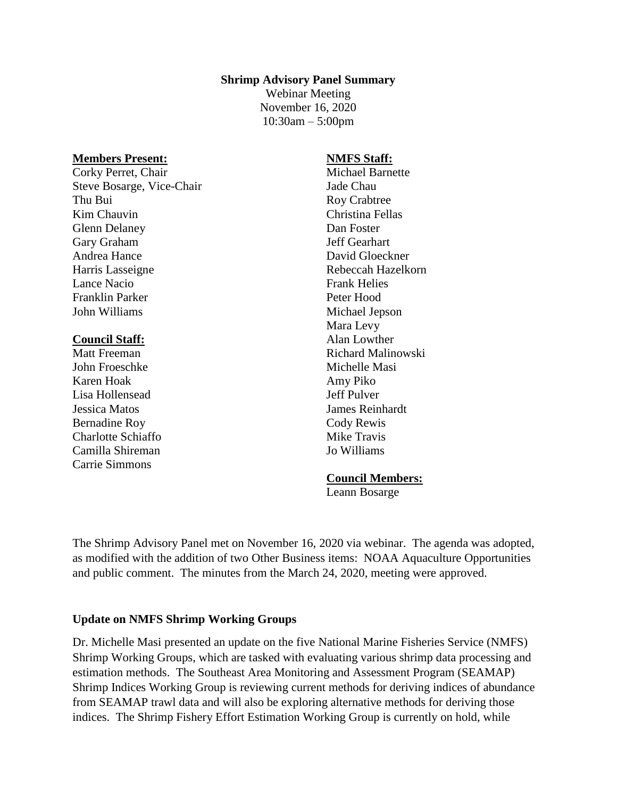#### **Shrimp Advisory Panel Summary**

Webinar Meeting November 16, 2020 10:30am – 5:00pm

#### **Members Present:**

Corky Perret, Chair Steve Bosarge, Vice-Chair Thu Bui Kim Chauvin Glenn Delaney Gary Graham Andrea Hance Harris Lasseigne Lance Nacio Franklin Parker John Williams

#### **Council Staff:**

Matt Freeman John Froeschke Karen Hoak Lisa Hollensead Jessica Matos Bernadine Roy Charlotte Schiaffo Camilla Shireman Carrie Simmons

## **NMFS Staff:** Michael Barnette Jade Chau Roy Crabtree Christina Fellas Dan Foster Jeff Gearhart David Gloeckner Rebeccah Hazelkorn Frank Helies Peter Hood Michael Jepson Mara Levy Alan Lowther Richard Malinowski Michelle Masi Amy Piko Jeff Pulver James Reinhardt Cody Rewis Mike Travis Jo Williams

#### **Council Members:**

Leann Bosarge

The Shrimp Advisory Panel met on November 16, 2020 via webinar. The agenda was adopted, as modified with the addition of two Other Business items: NOAA Aquaculture Opportunities and public comment. The minutes from the March 24, 2020, meeting were approved.

#### **Update on NMFS Shrimp Working Groups**

Dr. Michelle Masi presented an update on the five National Marine Fisheries Service (NMFS) Shrimp Working Groups, which are tasked with evaluating various shrimp data processing and estimation methods. The Southeast Area Monitoring and Assessment Program (SEAMAP) Shrimp Indices Working Group is reviewing current methods for deriving indices of abundance from SEAMAP trawl data and will also be exploring alternative methods for deriving those indices. The Shrimp Fishery Effort Estimation Working Group is currently on hold, while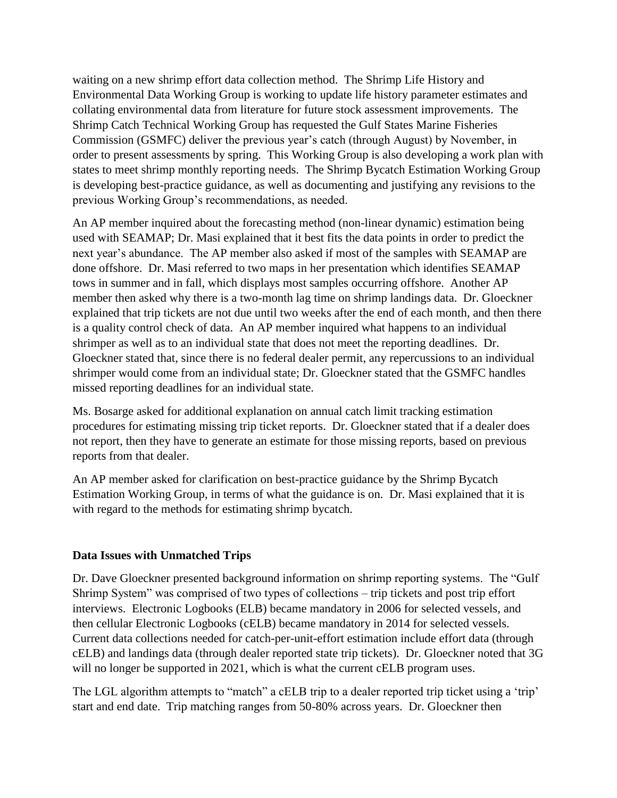waiting on a new shrimp effort data collection method. The Shrimp Life History and Environmental Data Working Group is working to update life history parameter estimates and collating environmental data from literature for future stock assessment improvements. The Shrimp Catch Technical Working Group has requested the Gulf States Marine Fisheries Commission (GSMFC) deliver the previous year's catch (through August) by November, in order to present assessments by spring. This Working Group is also developing a work plan with states to meet shrimp monthly reporting needs. The Shrimp Bycatch Estimation Working Group is developing best-practice guidance, as well as documenting and justifying any revisions to the previous Working Group's recommendations, as needed.

An AP member inquired about the forecasting method (non-linear dynamic) estimation being used with SEAMAP; Dr. Masi explained that it best fits the data points in order to predict the next year's abundance. The AP member also asked if most of the samples with SEAMAP are done offshore. Dr. Masi referred to two maps in her presentation which identifies SEAMAP tows in summer and in fall, which displays most samples occurring offshore. Another AP member then asked why there is a two-month lag time on shrimp landings data. Dr. Gloeckner explained that trip tickets are not due until two weeks after the end of each month, and then there is a quality control check of data. An AP member inquired what happens to an individual shrimper as well as to an individual state that does not meet the reporting deadlines. Dr. Gloeckner stated that, since there is no federal dealer permit, any repercussions to an individual shrimper would come from an individual state; Dr. Gloeckner stated that the GSMFC handles missed reporting deadlines for an individual state.

Ms. Bosarge asked for additional explanation on annual catch limit tracking estimation procedures for estimating missing trip ticket reports. Dr. Gloeckner stated that if a dealer does not report, then they have to generate an estimate for those missing reports, based on previous reports from that dealer.

An AP member asked for clarification on best-practice guidance by the Shrimp Bycatch Estimation Working Group, in terms of what the guidance is on. Dr. Masi explained that it is with regard to the methods for estimating shrimp bycatch.

## **Data Issues with Unmatched Trips**

Dr. Dave Gloeckner presented background information on shrimp reporting systems. The "Gulf Shrimp System" was comprised of two types of collections – trip tickets and post trip effort interviews. Electronic Logbooks (ELB) became mandatory in 2006 for selected vessels, and then cellular Electronic Logbooks (cELB) became mandatory in 2014 for selected vessels. Current data collections needed for catch-per-unit-effort estimation include effort data (through cELB) and landings data (through dealer reported state trip tickets). Dr. Gloeckner noted that 3G will no longer be supported in 2021, which is what the current cELB program uses.

The LGL algorithm attempts to "match" a cELB trip to a dealer reported trip ticket using a 'trip' start and end date. Trip matching ranges from 50-80% across years. Dr. Gloeckner then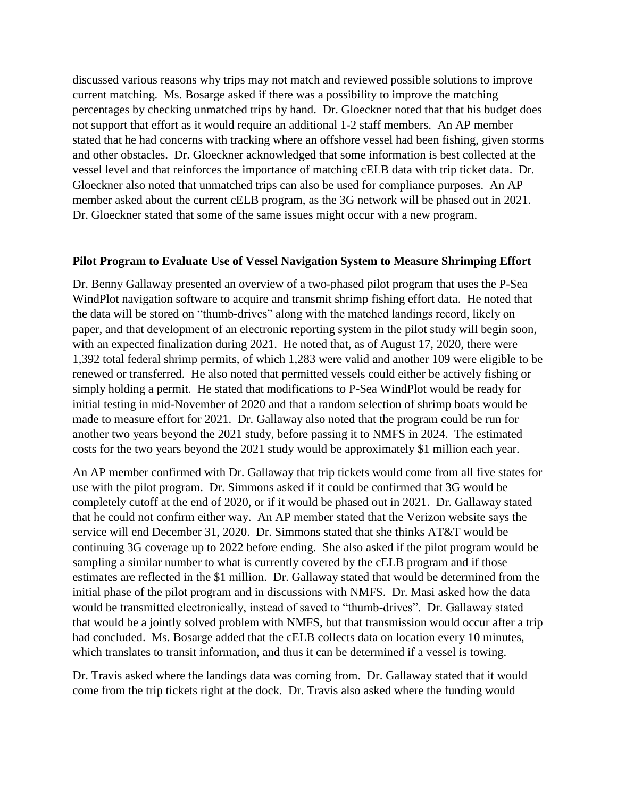discussed various reasons why trips may not match and reviewed possible solutions to improve current matching. Ms. Bosarge asked if there was a possibility to improve the matching percentages by checking unmatched trips by hand. Dr. Gloeckner noted that that his budget does not support that effort as it would require an additional 1-2 staff members. An AP member stated that he had concerns with tracking where an offshore vessel had been fishing, given storms and other obstacles. Dr. Gloeckner acknowledged that some information is best collected at the vessel level and that reinforces the importance of matching cELB data with trip ticket data. Dr. Gloeckner also noted that unmatched trips can also be used for compliance purposes. An AP member asked about the current cELB program, as the 3G network will be phased out in 2021. Dr. Gloeckner stated that some of the same issues might occur with a new program.

### **Pilot Program to Evaluate Use of Vessel Navigation System to Measure Shrimping Effort**

Dr. Benny Gallaway presented an overview of a two-phased pilot program that uses the P-Sea WindPlot navigation software to acquire and transmit shrimp fishing effort data. He noted that the data will be stored on "thumb-drives" along with the matched landings record, likely on paper, and that development of an electronic reporting system in the pilot study will begin soon, with an expected finalization during 2021. He noted that, as of August 17, 2020, there were 1,392 total federal shrimp permits, of which 1,283 were valid and another 109 were eligible to be renewed or transferred. He also noted that permitted vessels could either be actively fishing or simply holding a permit. He stated that modifications to P-Sea WindPlot would be ready for initial testing in mid-November of 2020 and that a random selection of shrimp boats would be made to measure effort for 2021. Dr. Gallaway also noted that the program could be run for another two years beyond the 2021 study, before passing it to NMFS in 2024. The estimated costs for the two years beyond the 2021 study would be approximately \$1 million each year.

An AP member confirmed with Dr. Gallaway that trip tickets would come from all five states for use with the pilot program. Dr. Simmons asked if it could be confirmed that 3G would be completely cutoff at the end of 2020, or if it would be phased out in 2021. Dr. Gallaway stated that he could not confirm either way. An AP member stated that the Verizon website says the service will end December 31, 2020. Dr. Simmons stated that she thinks AT&T would be continuing 3G coverage up to 2022 before ending. She also asked if the pilot program would be sampling a similar number to what is currently covered by the cELB program and if those estimates are reflected in the \$1 million. Dr. Gallaway stated that would be determined from the initial phase of the pilot program and in discussions with NMFS. Dr. Masi asked how the data would be transmitted electronically, instead of saved to "thumb-drives". Dr. Gallaway stated that would be a jointly solved problem with NMFS, but that transmission would occur after a trip had concluded. Ms. Bosarge added that the cELB collects data on location every 10 minutes, which translates to transit information, and thus it can be determined if a vessel is towing.

Dr. Travis asked where the landings data was coming from. Dr. Gallaway stated that it would come from the trip tickets right at the dock. Dr. Travis also asked where the funding would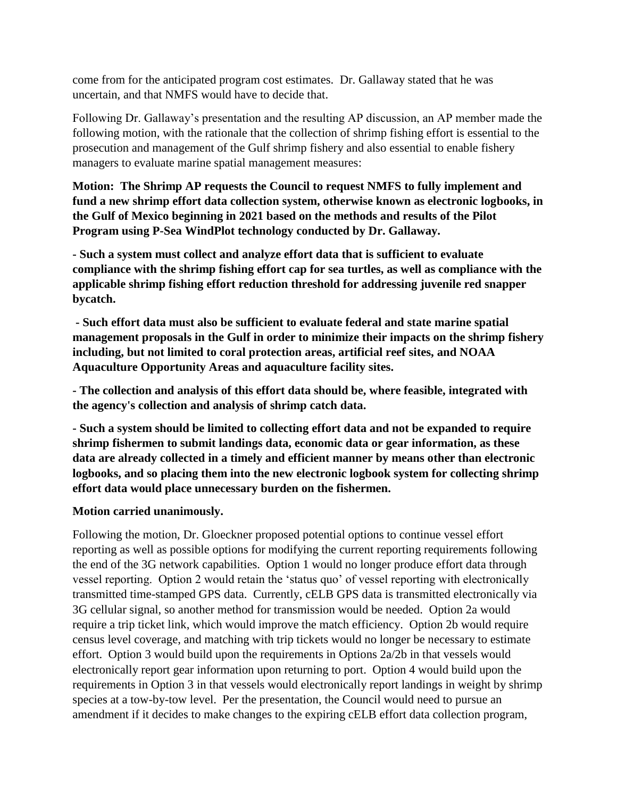come from for the anticipated program cost estimates. Dr. Gallaway stated that he was uncertain, and that NMFS would have to decide that.

Following Dr. Gallaway's presentation and the resulting AP discussion, an AP member made the following motion, with the rationale that the collection of shrimp fishing effort is essential to the prosecution and management of the Gulf shrimp fishery and also essential to enable fishery managers to evaluate marine spatial management measures:

**Motion: The Shrimp AP requests the Council to request NMFS to fully implement and fund a new shrimp effort data collection system, otherwise known as electronic logbooks, in the Gulf of Mexico beginning in 2021 based on the methods and results of the Pilot Program using P-Sea WindPlot technology conducted by Dr. Gallaway.**

**- Such a system must collect and analyze effort data that is sufficient to evaluate compliance with the shrimp fishing effort cap for sea turtles, as well as compliance with the applicable shrimp fishing effort reduction threshold for addressing juvenile red snapper bycatch.** 

**- Such effort data must also be sufficient to evaluate federal and state marine spatial management proposals in the Gulf in order to minimize their impacts on the shrimp fishery including, but not limited to coral protection areas, artificial reef sites, and NOAA Aquaculture Opportunity Areas and aquaculture facility sites.**

**- The collection and analysis of this effort data should be, where feasible, integrated with the agency's collection and analysis of shrimp catch data.** 

**- Such a system should be limited to collecting effort data and not be expanded to require shrimp fishermen to submit landings data, economic data or gear information, as these data are already collected in a timely and efficient manner by means other than electronic logbooks, and so placing them into the new electronic logbook system for collecting shrimp effort data would place unnecessary burden on the fishermen.**

## **Motion carried unanimously.**

Following the motion, Dr. Gloeckner proposed potential options to continue vessel effort reporting as well as possible options for modifying the current reporting requirements following the end of the 3G network capabilities. Option 1 would no longer produce effort data through vessel reporting. Option 2 would retain the 'status quo' of vessel reporting with electronically transmitted time-stamped GPS data. Currently, cELB GPS data is transmitted electronically via 3G cellular signal, so another method for transmission would be needed. Option 2a would require a trip ticket link, which would improve the match efficiency. Option 2b would require census level coverage, and matching with trip tickets would no longer be necessary to estimate effort. Option 3 would build upon the requirements in Options 2a/2b in that vessels would electronically report gear information upon returning to port. Option 4 would build upon the requirements in Option 3 in that vessels would electronically report landings in weight by shrimp species at a tow-by-tow level. Per the presentation, the Council would need to pursue an amendment if it decides to make changes to the expiring cELB effort data collection program,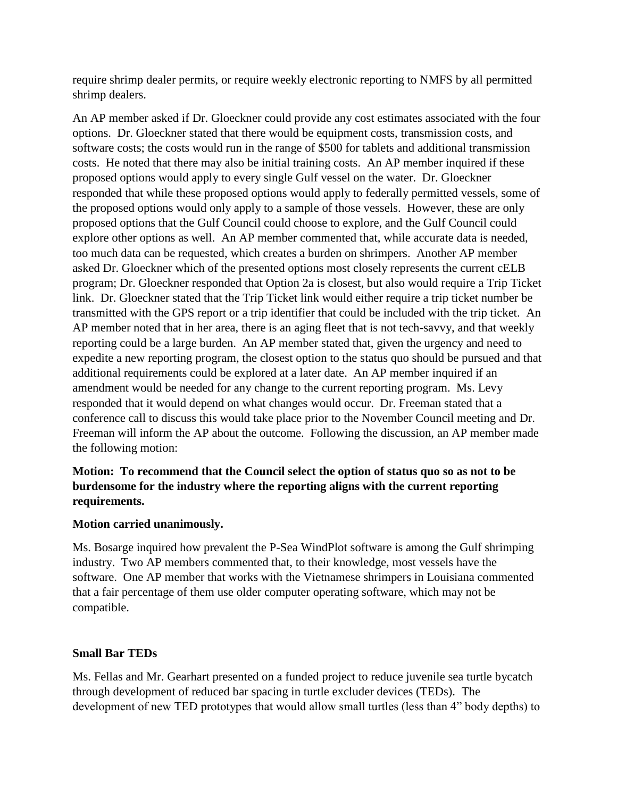require shrimp dealer permits, or require weekly electronic reporting to NMFS by all permitted shrimp dealers.

An AP member asked if Dr. Gloeckner could provide any cost estimates associated with the four options. Dr. Gloeckner stated that there would be equipment costs, transmission costs, and software costs; the costs would run in the range of \$500 for tablets and additional transmission costs. He noted that there may also be initial training costs. An AP member inquired if these proposed options would apply to every single Gulf vessel on the water. Dr. Gloeckner responded that while these proposed options would apply to federally permitted vessels, some of the proposed options would only apply to a sample of those vessels. However, these are only proposed options that the Gulf Council could choose to explore, and the Gulf Council could explore other options as well. An AP member commented that, while accurate data is needed, too much data can be requested, which creates a burden on shrimpers. Another AP member asked Dr. Gloeckner which of the presented options most closely represents the current cELB program; Dr. Gloeckner responded that Option 2a is closest, but also would require a Trip Ticket link. Dr. Gloeckner stated that the Trip Ticket link would either require a trip ticket number be transmitted with the GPS report or a trip identifier that could be included with the trip ticket. An AP member noted that in her area, there is an aging fleet that is not tech-savvy, and that weekly reporting could be a large burden. An AP member stated that, given the urgency and need to expedite a new reporting program, the closest option to the status quo should be pursued and that additional requirements could be explored at a later date. An AP member inquired if an amendment would be needed for any change to the current reporting program. Ms. Levy responded that it would depend on what changes would occur. Dr. Freeman stated that a conference call to discuss this would take place prior to the November Council meeting and Dr. Freeman will inform the AP about the outcome. Following the discussion, an AP member made the following motion:

# **Motion: To recommend that the Council select the option of status quo so as not to be burdensome for the industry where the reporting aligns with the current reporting requirements.**

## **Motion carried unanimously.**

Ms. Bosarge inquired how prevalent the P-Sea WindPlot software is among the Gulf shrimping industry. Two AP members commented that, to their knowledge, most vessels have the software. One AP member that works with the Vietnamese shrimpers in Louisiana commented that a fair percentage of them use older computer operating software, which may not be compatible.

# **Small Bar TEDs**

Ms. Fellas and Mr. Gearhart presented on a funded project to reduce juvenile sea turtle bycatch through development of reduced bar spacing in turtle excluder devices (TEDs). The development of new TED prototypes that would allow small turtles (less than 4" body depths) to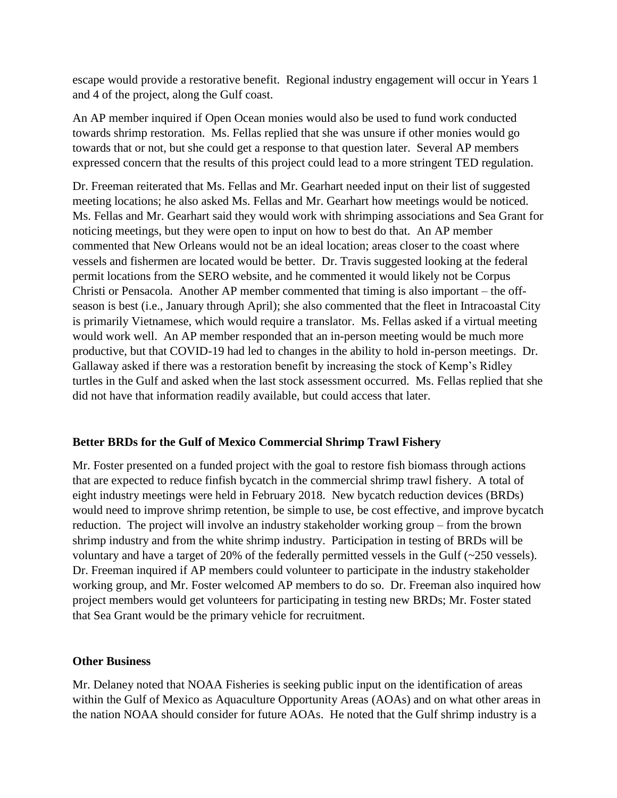escape would provide a restorative benefit. Regional industry engagement will occur in Years 1 and 4 of the project, along the Gulf coast.

An AP member inquired if Open Ocean monies would also be used to fund work conducted towards shrimp restoration. Ms. Fellas replied that she was unsure if other monies would go towards that or not, but she could get a response to that question later. Several AP members expressed concern that the results of this project could lead to a more stringent TED regulation.

Dr. Freeman reiterated that Ms. Fellas and Mr. Gearhart needed input on their list of suggested meeting locations; he also asked Ms. Fellas and Mr. Gearhart how meetings would be noticed. Ms. Fellas and Mr. Gearhart said they would work with shrimping associations and Sea Grant for noticing meetings, but they were open to input on how to best do that. An AP member commented that New Orleans would not be an ideal location; areas closer to the coast where vessels and fishermen are located would be better. Dr. Travis suggested looking at the federal permit locations from the SERO website, and he commented it would likely not be Corpus Christi or Pensacola. Another AP member commented that timing is also important – the offseason is best (i.e., January through April); she also commented that the fleet in Intracoastal City is primarily Vietnamese, which would require a translator. Ms. Fellas asked if a virtual meeting would work well. An AP member responded that an in-person meeting would be much more productive, but that COVID-19 had led to changes in the ability to hold in-person meetings. Dr. Gallaway asked if there was a restoration benefit by increasing the stock of Kemp's Ridley turtles in the Gulf and asked when the last stock assessment occurred. Ms. Fellas replied that she did not have that information readily available, but could access that later.

## **Better BRDs for the Gulf of Mexico Commercial Shrimp Trawl Fishery**

Mr. Foster presented on a funded project with the goal to restore fish biomass through actions that are expected to reduce finfish bycatch in the commercial shrimp trawl fishery. A total of eight industry meetings were held in February 2018. New bycatch reduction devices (BRDs) would need to improve shrimp retention, be simple to use, be cost effective, and improve bycatch reduction. The project will involve an industry stakeholder working group – from the brown shrimp industry and from the white shrimp industry. Participation in testing of BRDs will be voluntary and have a target of 20% of the federally permitted vessels in the Gulf (~250 vessels). Dr. Freeman inquired if AP members could volunteer to participate in the industry stakeholder working group, and Mr. Foster welcomed AP members to do so. Dr. Freeman also inquired how project members would get volunteers for participating in testing new BRDs; Mr. Foster stated that Sea Grant would be the primary vehicle for recruitment.

### **Other Business**

Mr. Delaney noted that NOAA Fisheries is seeking public input on the identification of areas within the Gulf of Mexico as Aquaculture Opportunity Areas (AOAs) and on what other areas in the nation NOAA should consider for future AOAs. He noted that the Gulf shrimp industry is a